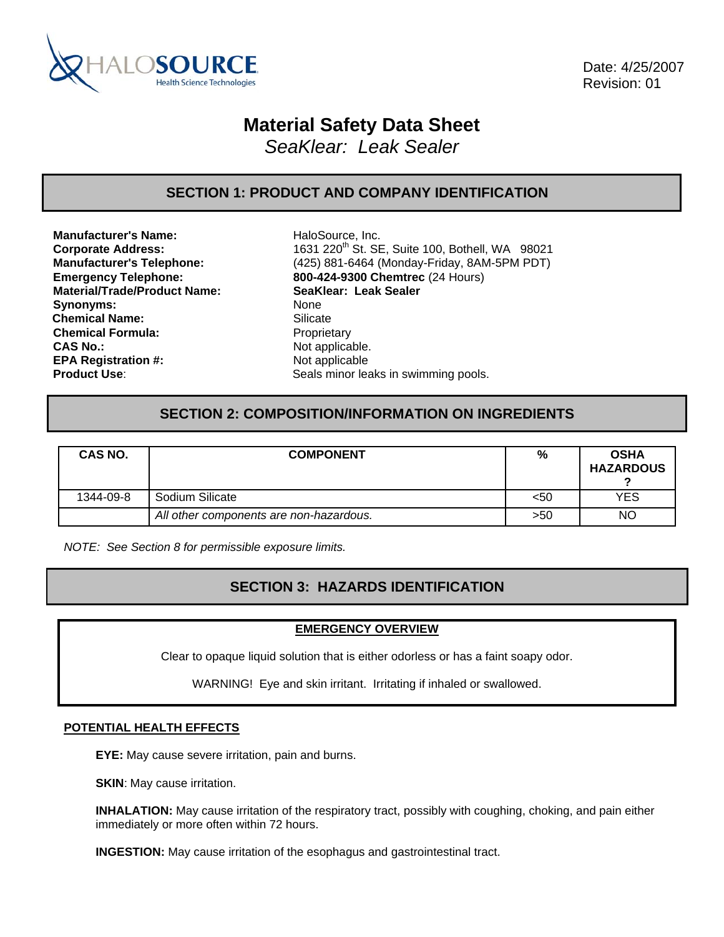

 Date: 4/25/2007 Revision: 01

# **Material Safety Data Sheet**

*SeaKlear: Leak Sealer* 

# **SECTION 1: PRODUCT AND COMPANY IDENTIFICATION**

**Manufacturer's Name:** HaloSource, Inc. **Material/Trade/Product Name: SeaKlear: Leak Sealer** Synonyms: None **Chemical Name:** Silicate Silicate<br> **Chemical Formula:** Proprietary **Chemical Formula: CAS No.:** Not applicable. **EPA Registration #:** Not applicable

**Corporate Address:** 1631 220<sup>th</sup> St. SE, Suite 100, Bothell, WA 98021 **Manufacturer's Telephone:** (425) 881-6464 (Monday-Friday, 8AM-5PM PDT) **Emergency Telephone: 800-424-9300 Chemtrec** (24 Hours) **Product Use:** Seals minor leaks in swimming pools.

# **SECTION 2: COMPOSITION/INFORMATION ON INGREDIENTS**

| CAS NO.   | <b>COMPONENT</b>                        | %    | <b>OSHA</b><br><b>HAZARDOUS</b> |
|-----------|-----------------------------------------|------|---------------------------------|
| 1344-09-8 | Sodium Silicate                         | $50$ | YES                             |
|           | All other components are non-hazardous. | >50  | <b>NO</b>                       |

*NOTE: See Section 8 for permissible exposure limits.* 

# **SECTION 3: HAZARDS IDENTIFICATION**

### **EMERGENCY OVERVIEW**

Clear to opaque liquid solution that is either odorless or has a faint soapy odor.

WARNING! Eye and skin irritant. Irritating if inhaled or swallowed.

### **POTENTIAL HEALTH EFFECTS**

**EYE:** May cause severe irritation, pain and burns.

**SKIN:** May cause irritation.

**INHALATION:** May cause irritation of the respiratory tract, possibly with coughing, choking, and pain either immediately or more often within 72 hours.

**INGESTION:** May cause irritation of the esophagus and gastrointestinal tract.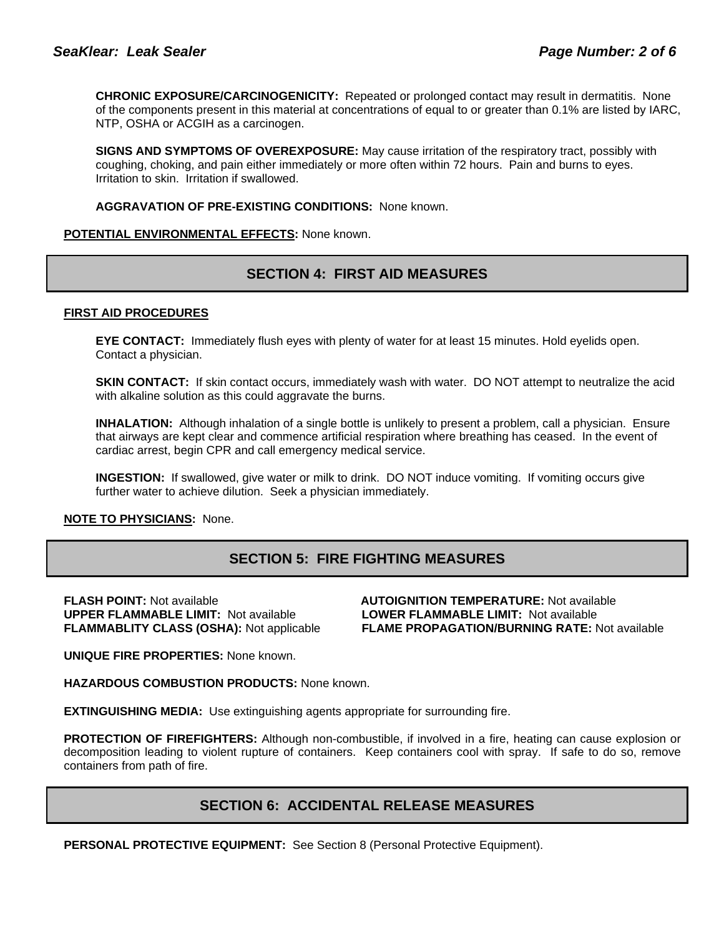**CHRONIC EXPOSURE/CARCINOGENICITY:** Repeated or prolonged contact may result in dermatitis. None of the components present in this material at concentrations of equal to or greater than 0.1% are listed by IARC, NTP, OSHA or ACGIH as a carcinogen.

**SIGNS AND SYMPTOMS OF OVEREXPOSURE:** May cause irritation of the respiratory tract, possibly with coughing, choking, and pain either immediately or more often within 72 hours. Pain and burns to eyes. Irritation to skin. Irritation if swallowed.

**AGGRAVATION OF PRE-EXISTING CONDITIONS:** None known.

### **POTENTIAL ENVIRONMENTAL EFFECTS:** None known.

# **SECTION 4: FIRST AID MEASURES**

### **FIRST AID PROCEDURES**

**EYE CONTACT:** Immediately flush eyes with plenty of water for at least 15 minutes. Hold eyelids open. Contact a physician.

**SKIN CONTACT:** If skin contact occurs, immediately wash with water. DO NOT attempt to neutralize the acid with alkaline solution as this could aggravate the burns.

**INHALATION:** Although inhalation of a single bottle is unlikely to present a problem, call a physician. Ensure that airways are kept clear and commence artificial respiration where breathing has ceased. In the event of cardiac arrest, begin CPR and call emergency medical service.

**INGESTION:** If swallowed, give water or milk to drink. DO NOT induce vomiting. If vomiting occurs give further water to achieve dilution. Seek a physician immediately.

### **NOTE TO PHYSICIANS:** None.

# **SECTION 5: FIRE FIGHTING MEASURES**

**FLASH POINT:** Not available **AUTOIGNITION TEMPERATURE:** Not available

**UPPER FLAMMABLE LIMIT:** Not available **LOWER FLAMMABLE LIMIT:** Not available **FLAMMABLITY CLASS (OSHA):** Not applicable **FLAME PROPAGATION/BURNING RATE:** Not available

**UNIQUE FIRE PROPERTIES:** None known.

**HAZARDOUS COMBUSTION PRODUCTS:** None known.

**EXTINGUISHING MEDIA:** Use extinguishing agents appropriate for surrounding fire.

**PROTECTION OF FIREFIGHTERS:** Although non-combustible, if involved in a fire, heating can cause explosion or decomposition leading to violent rupture of containers. Keep containers cool with spray. If safe to do so, remove containers from path of fire.

# **SECTION 6: ACCIDENTAL RELEASE MEASURES**

**PERSONAL PROTECTIVE EQUIPMENT:** See Section 8 (Personal Protective Equipment).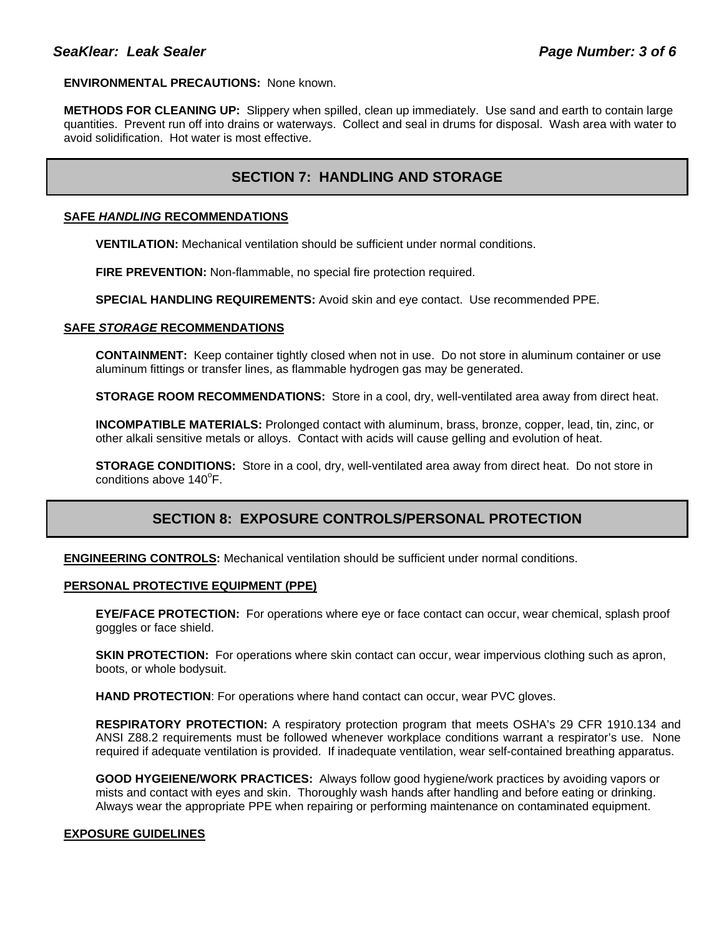### **ENVIRONMENTAL PRECAUTIONS:** None known.

**METHODS FOR CLEANING UP:** Slippery when spilled, clean up immediately. Use sand and earth to contain large quantities. Prevent run off into drains or waterways. Collect and seal in drums for disposal. Wash area with water to avoid solidification. Hot water is most effective.

# **SECTION 7: HANDLING AND STORAGE**

### **SAFE** *HANDLING* **RECOMMENDATIONS**

**VENTILATION:** Mechanical ventilation should be sufficient under normal conditions.

**FIRE PREVENTION:** Non-flammable, no special fire protection required.

**SPECIAL HANDLING REQUIREMENTS:** Avoid skin and eye contact. Use recommended PPE.

### **SAFE** *STORAGE* **RECOMMENDATIONS**

**CONTAINMENT:** Keep container tightly closed when not in use. Do not store in aluminum container or use aluminum fittings or transfer lines, as flammable hydrogen gas may be generated.

**STORAGE ROOM RECOMMENDATIONS:** Store in a cool, dry, well-ventilated area away from direct heat.

**INCOMPATIBLE MATERIALS:** Prolonged contact with aluminum, brass, bronze, copper, lead, tin, zinc, or other alkali sensitive metals or alloys. Contact with acids will cause gelling and evolution of heat.

**STORAGE CONDITIONS:** Store in a cool, dry, well-ventilated area away from direct heat. Do not store in conditions above 140°F.

# **SECTION 8: EXPOSURE CONTROLS/PERSONAL PROTECTION**

**ENGINEERING CONTROLS:** Mechanical ventilation should be sufficient under normal conditions.

### **PERSONAL PROTECTIVE EQUIPMENT (PPE)**

**EYE/FACE PROTECTION:** For operations where eye or face contact can occur, wear chemical, splash proof goggles or face shield.

**SKIN PROTECTION:** For operations where skin contact can occur, wear impervious clothing such as apron, boots, or whole bodysuit.

**HAND PROTECTION**: For operations where hand contact can occur, wear PVC gloves.

**RESPIRATORY PROTECTION:** A respiratory protection program that meets OSHA's 29 CFR 1910.134 and ANSI Z88.2 requirements must be followed whenever workplace conditions warrant a respirator's use. None required if adequate ventilation is provided. If inadequate ventilation, wear self-contained breathing apparatus.

**GOOD HYGEIENE/WORK PRACTICES:** Always follow good hygiene/work practices by avoiding vapors or mists and contact with eyes and skin. Thoroughly wash hands after handling and before eating or drinking. Always wear the appropriate PPE when repairing or performing maintenance on contaminated equipment.

### **EXPOSURE GUIDELINES**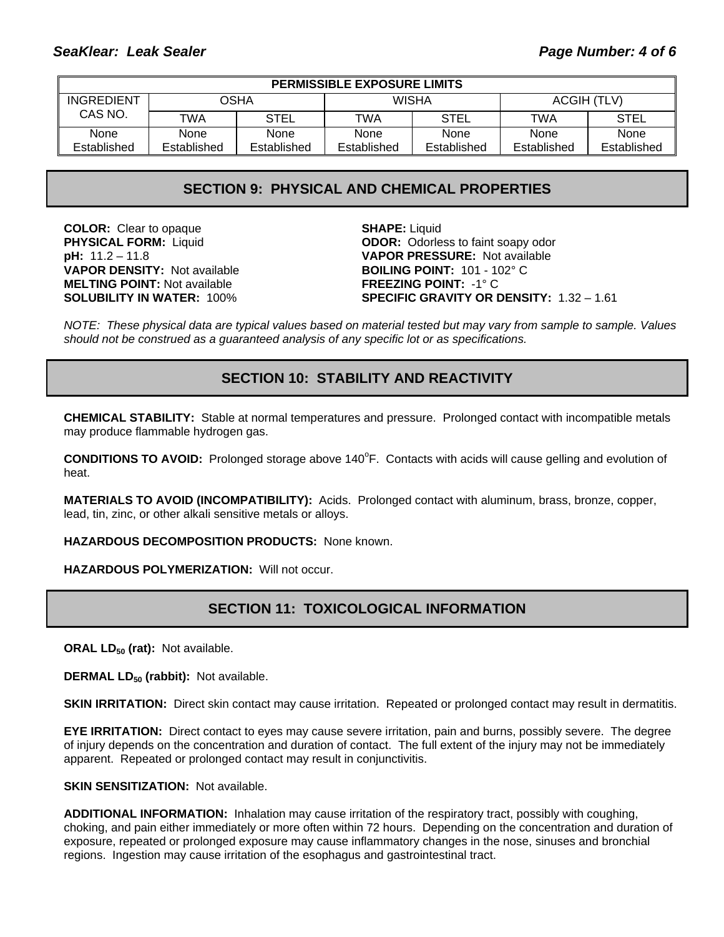| <b>PERMISSIBLE EXPOSURE LIMITS</b> |             |             |              |             |             |             |
|------------------------------------|-------------|-------------|--------------|-------------|-------------|-------------|
| INGREDIENT                         | OSHA        |             | <b>WISHA</b> |             | ACGIH (TLV) |             |
| CAS NO.                            | TWA         | <b>STEL</b> | TWA          | STEL        | <b>TWA</b>  | STEL        |
| None                               | None        | None        | None         | None        | None        | <b>None</b> |
| Established                        | Established | Established | Established  | Established | Established | Established |

### **SECTION 9: PHYSICAL AND CHEMICAL PROPERTIES**

**COLOR:** Clear to opaque **SHAPE:** Liquid **VAPOR DENSITY:** Not available **BOILING POINT:** 101 - 102° C **MELTING POINT:** Not available **FREEZING POINT:** -1° C

**PHYSICAL FORM:** Liquid **ODOR:** Odorless to faint soapy odor **pH:** 11.2 – 11.8 **VAPOR PRESSURE:** Not available **SOLUBILITY IN WATER:** 100% **SPECIFIC GRAVITY OR DENSITY:** 1.32 – 1.61

*NOTE: These physical data are typical values based on material tested but may vary from sample to sample. Values should not be construed as a guaranteed analysis of any specific lot or as specifications.*

# **SECTION 10: STABILITY AND REACTIVITY**

**CHEMICAL STABILITY:** Stable at normal temperatures and pressure. Prolonged contact with incompatible metals may produce flammable hydrogen gas.

**CONDITIONS TO AVOID:** Prolonged storage above 140°F. Contacts with acids will cause gelling and evolution of heat.

**MATERIALS TO AVOID (INCOMPATIBILITY):** Acids. Prolonged contact with aluminum, brass, bronze, copper, lead, tin, zinc, or other alkali sensitive metals or alloys.

**HAZARDOUS DECOMPOSITION PRODUCTS:** None known.

**HAZARDOUS POLYMERIZATION:** Will not occur.

# **SECTION 11: TOXICOLOGICAL INFORMATION**

**ORAL LD<sub>50</sub> (rat):** Not available.

**DERMAL LD<sub>50</sub> (rabbit):** Not available.

**SKIN IRRITATION:** Direct skin contact may cause irritation. Repeated or prolonged contact may result in dermatitis.

**EYE IRRITATION:** Direct contact to eyes may cause severe irritation, pain and burns, possibly severe. The degree of injury depends on the concentration and duration of contact. The full extent of the injury may not be immediately apparent. Repeated or prolonged contact may result in conjunctivitis.

**SKIN SENSITIZATION:** Not available.

**ADDITIONAL INFORMATION:** Inhalation may cause irritation of the respiratory tract, possibly with coughing, choking, and pain either immediately or more often within 72 hours. Depending on the concentration and duration of exposure, repeated or prolonged exposure may cause inflammatory changes in the nose, sinuses and bronchial regions. Ingestion may cause irritation of the esophagus and gastrointestinal tract.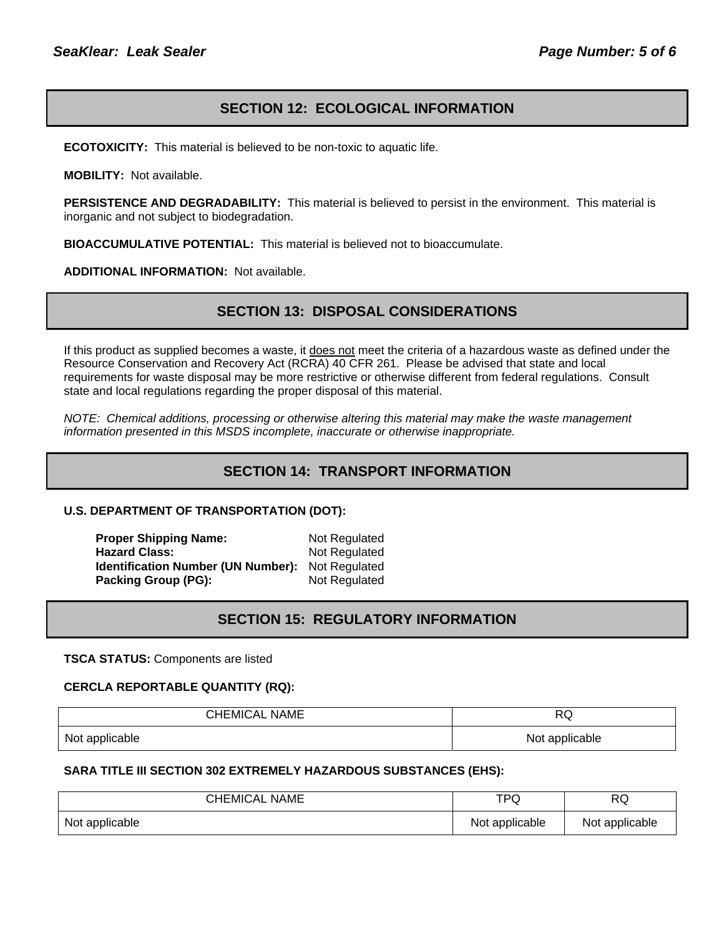### **SECTION 12: ECOLOGICAL INFORMATION**

**ECOTOXICITY:** This material is believed to be non-toxic to aquatic life.

**MOBILITY:** Not available.

**PERSISTENCE AND DEGRADABILITY:** This material is believed to persist in the environment. This material is inorganic and not subject to biodegradation.

**BIOACCUMULATIVE POTENTIAL:** This material is believed not to bioaccumulate.

**ADDITIONAL INFORMATION:** Not available.

### **SECTION 13: DISPOSAL CONSIDERATIONS**

If this product as supplied becomes a waste, it does not meet the criteria of a hazardous waste as defined under the Resource Conservation and Recovery Act (RCRA) 40 CFR 261. Please be advised that state and local requirements for waste disposal may be more restrictive or otherwise different from federal regulations. Consult state and local regulations regarding the proper disposal of this material.

*NOTE: Chemical additions, processing or otherwise altering this material may make the waste management information presented in this MSDS incomplete, inaccurate or otherwise inappropriate.* 

### **SECTION 14: TRANSPORT INFORMATION**

#### **U.S. DEPARTMENT OF TRANSPORTATION (DOT):**

**Proper Shipping Name:** Not Regulated **Hazard Class:** Not Regulated **Identification Number (UN Number):** Not Regulated **Packing Group (PG):** Not Regulated

# **SECTION 15: REGULATORY INFORMATION**

**TSCA STATUS:** Components are listed

### **CERCLA REPORTABLE QUANTITY (RQ):**

| <b>CHEMICAL NAME</b> | DC.<br>ש       |  |
|----------------------|----------------|--|
| Not applicable       | Not applicable |  |

### **SARA TITLE III SECTION 302 EXTREMELY HAZARDOUS SUBSTANCES (EHS):**

| <b>CHEMICAL NAME</b> | TPQ            | DC<br>ĸu       |
|----------------------|----------------|----------------|
| Not applicable       | Not applicable | Not applicable |